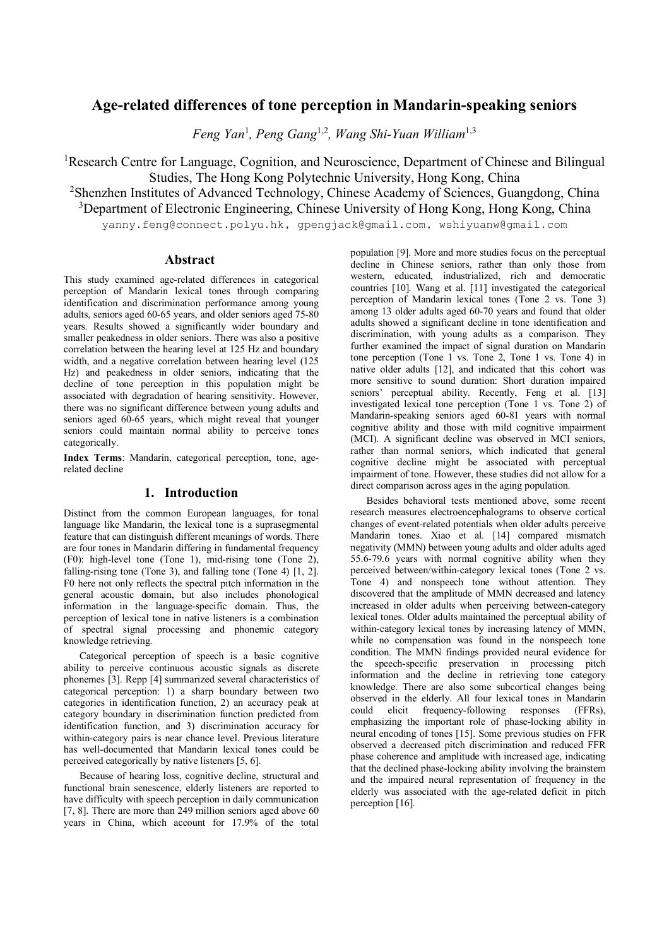# **Age-related differences of tone perception in Mandarin-speaking seniors**

*Feng Yan*<sup>1</sup> *, Peng Gang*1,2*, Wang Shi-Yuan William*1,3

<sup>1</sup>Research Centre for Language, Cognition, and Neuroscience, Department of Chinese and Bilingual Studies, The Hong Kong Polytechnic University, Hong Kong, China <sup>2</sup>Shenzhen Institutes of Advanced Technology, Chinese Academy of Sciences, Guangdong, China

<sup>3</sup>Department of Electronic Engineering, Chinese University of Hong Kong, Hong Kong, China

yanny.feng@connect.polyu.hk, gpengjack@gmail.com, wshiyuanw@gmail.com

### **Abstract**

This study examined age-related differences in categorical perception of Mandarin lexical tones through comparing identification and discrimination performance among young adults, seniors aged 60-65 years, and older seniors aged 75-80 years. Results showed a significantly wider boundary and smaller peakedness in older seniors. There was also a positive correlation between the hearing level at 125 Hz and boundary width, and a negative correlation between hearing level (125 Hz) and peakedness in older seniors, indicating that the decline of tone perception in this population might be associated with degradation of hearing sensitivity. However, there was no significant difference between young adults and seniors aged 60-65 years, which might reveal that younger seniors could maintain normal ability to perceive tones categorically.

**Index Terms**: Mandarin, categorical perception, tone, agerelated decline

### **1. Introduction**

Distinct from the common European languages, for tonal language like Mandarin, the lexical tone is a suprasegmental feature that can distinguish different meanings of words. There are four tones in Mandarin differing in fundamental frequency (F0): high-level tone (Tone 1), mid-rising tone (Tone 2), falling-rising tone (Tone 3), and falling tone (Tone 4) [1, 2]. F0 here not only reflects the spectral pitch information in the general acoustic domain, but also includes phonological information in the language-specific domain. Thus, the perception of lexical tone in native listeners is a combination of spectral signal processing and phonemic category knowledge retrieving.

Categorical perception of speech is a basic cognitive ability to perceive continuous acoustic signals as discrete phonemes [3]. Repp [4] summarized several characteristics of categorical perception: 1) a sharp boundary between two categories in identification function, 2) an accuracy peak at category boundary in discrimination function predicted from identification function, and 3) discrimination accuracy for within-category pairs is near chance level. Previous literature has well-documented that Mandarin lexical tones could be perceived categorically by native listeners [5, 6].

Because of hearing loss, cognitive decline, structural and functional brain senescence, elderly listeners are reported to have difficulty with speech perception in daily communication [7, 8]. There are more than 249 million seniors aged above 60 years in China, which account for 17.9% of the total population [9]. More and more studies focus on the perceptual decline in Chinese seniors, rather than only those from western, educated, industrialized, rich and democratic countries [10]. Wang et al. [11] investigated the categorical perception of Mandarin lexical tones (Tone 2 vs. Tone 3) among 13 older adults aged 60-70 years and found that older adults showed a significant decline in tone identification and discrimination, with young adults as a comparison. They further examined the impact of signal duration on Mandarin tone perception (Tone 1 vs. Tone 2, Tone 1 vs. Tone 4) in native older adults [12], and indicated that this cohort was more sensitive to sound duration: Short duration impaired seniors' perceptual ability. Recently, Feng et al. [13] investigated lexical tone perception (Tone 1 vs. Tone 2) of Mandarin-speaking seniors aged 60-81 years with normal cognitive ability and those with mild cognitive impairment (MCI). A significant decline was observed in MCI seniors, rather than normal seniors, which indicated that general cognitive decline might be associated with perceptual impairment of tone. However, these studies did not allow for a direct comparison across ages in the aging population.

Besides behavioral tests mentioned above, some recent research measures electroencephalograms to observe cortical changes of event-related potentials when older adults perceive Mandarin tones. Xiao et al. [14] compared mismatch negativity (MMN) between young adults and older adults aged 55.6-79.6 years with normal cognitive ability when they perceived between/within-category lexical tones (Tone 2 vs. Tone 4) and nonspeech tone without attention. They discovered that the amplitude of MMN decreased and latency increased in older adults when perceiving between-category lexical tones. Older adults maintained the perceptual ability of within-category lexical tones by increasing latency of MMN, while no compensation was found in the nonspeech tone condition. The MMN findings provided neural evidence for the speech-specific preservation in processing pitch information and the decline in retrieving tone category knowledge. There are also some subcortical changes being observed in the elderly. All four lexical tones in Mandarin could elicit frequency-following responses (FFRs). elicit frequency-following responses (FFRs), emphasizing the important role of phase-locking ability in neural encoding of tones [15]. Some previous studies on FFR observed a decreased pitch discrimination and reduced FFR phase coherence and amplitude with increased age, indicating that the declined phase-locking ability involving the brainstem and the impaired neural representation of frequency in the elderly was associated with the age-related deficit in pitch perception [16].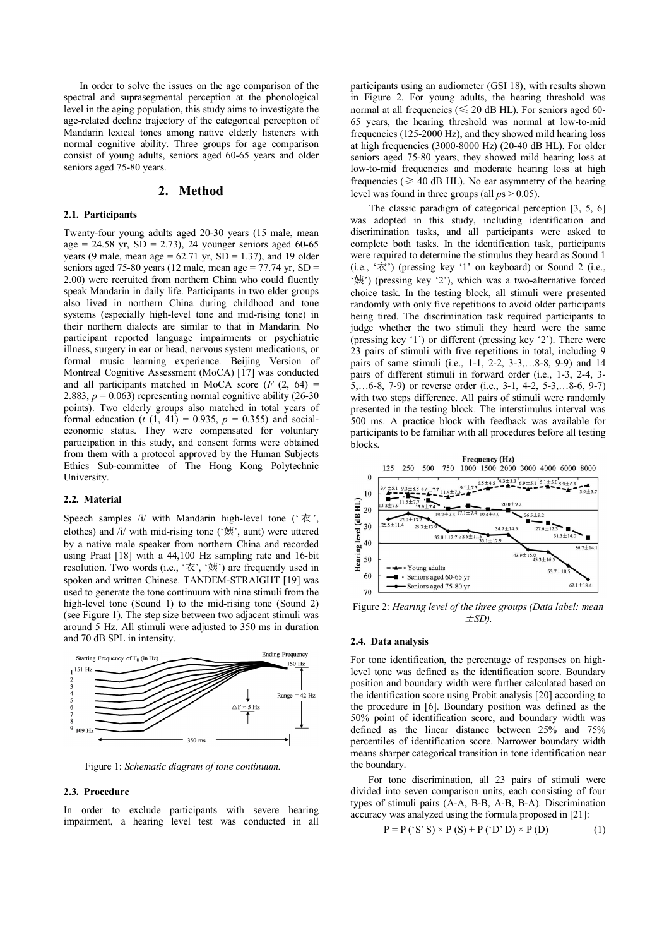In order to solve the issues on the age comparison of the spectral and suprasegmental perception at the phonological level in the aging population, this study aims to investigate the age-related decline trajectory of the categorical perception of Mandarin lexical tones among native elderly listeners with normal cognitive ability. Three groups for age comparison consist of young adults, seniors aged 60-65 years and older seniors aged 75-80 years.

#### **2. Method**

### **2.1. Participants**

Twenty-four young adults aged 20-30 years (15 male, mean age = 24.58 yr,  $SD = 2.73$ , 24 younger seniors aged 60-65 years (9 male, mean age =  $62.71$  yr,  $SD = 1.37$ ), and 19 older seniors aged 75-80 years (12 male, mean age = 77.74 yr,  $SD =$ 2.00) were recruited from northern China who could fluently speak Mandarin in daily life. Participants in two elder groups also lived in northern China during childhood and tone systems (especially high-level tone and mid-rising tone) in their northern dialects are similar to that in Mandarin. No participant reported language impairments or psychiatric illness, surgery in ear or head, nervous system medications, or formal music learning experience. Beijing Version of Montreal Cognitive Assessment (MoCA) [17] was conducted and all participants matched in MoCA score  $(F (2, 64) =$ 2.883,  $p = 0.063$ ) representing normal cognitive ability (26-30) points). Two elderly groups also matched in total years of formal education (*t*  $(1, 41) = 0.935$ ,  $p = 0.355$ ) and socialeconomic status. They were compensated for voluntary participation in this study, and consent forms were obtained from them with a protocol approved by the Human Subjects Ethics Sub-committee of The Hong Kong Polytechnic University.

#### **2.2. Material**

Speech samples /i/ with Mandarin high-level tone (' $\dot{\alpha}$ ', clothes) and /i/ with mid-rising tone ('姨', aunt) were uttered by a native male speaker from northern China and recorded using Praat [18] with a 44,100 Hz sampling rate and 16-bit resolution. Two words (i.e., '衣', '姨') are frequently used in spoken and written Chinese. TANDEM-STRAIGHT [19] was used to generate the tone continuum with nine stimuli from the high-level tone (Sound 1) to the mid-rising tone (Sound 2) (see Figure 1). The step size between two adjacent stimuli was around 5 Hz. All stimuli were adjusted to 350 ms in duration and 70 dB SPL in intensity.



Figure 1: *Schematic diagram of tone continuum.*

#### **2.3. Procedure**

In order to exclude participants with severe hearing impairment, a hearing level test was conducted in all

participants using an audiometer (GSI 18), with results shown in Figure 2. For young adults, the hearing threshold was normal at all frequencies ( $\leq 20$  dB HL). For seniors aged 60-65 years, the hearing threshold was normal at low-to-mid frequencies (125-2000 Hz), and they showed mild hearing loss at high frequencies (3000-8000 Hz) (20-40 dB HL). For older seniors aged 75-80 years, they showed mild hearing loss at low-to-mid frequencies and moderate hearing loss at high frequencies ( $\geq 40$  dB HL). No ear asymmetry of the hearing level was found in three groups (all *p*s > 0.05).

 The classic paradigm of categorical perception [3, 5, 6] was adopted in this study, including identification and discrimination tasks, and all participants were asked to complete both tasks. In the identification task, participants were required to determine the stimulus they heard as Sound 1  $(i.e., 'R')$  (pressing key '1' on keyboard) or Sound 2 (i.e., '姨') (pressing key '2'), which was a two-alternative forced choice task. In the testing block, all stimuli were presented randomly with only five repetitions to avoid older participants being tired. The discrimination task required participants to judge whether the two stimuli they heard were the same (pressing key '1') or different (pressing key '2'). There were 23 pairs of stimuli with five repetitions in total, including 9 pairs of same stimuli (i.e., 1-1, 2-2, 3-3,…8-8, 9-9) and 14 pairs of different stimuli in forward order (i.e., 1-3, 2-4, 3- 5,…6-8, 7-9) or reverse order (i.e., 3-1, 4-2, 5-3,…8-6, 9-7) with two steps difference. All pairs of stimuli were randomly presented in the testing block. The interstimulus interval was 500 ms. A practice block with feedback was available for participants to be familiar with all procedures before all testing blocks.



Figure 2: *Hearing level of the three groups (Data label: mean*  $\pm SD$ ).

#### **2.4. Data analysis**

For tone identification, the percentage of responses on highlevel tone was defined as the identification score. Boundary position and boundary width were further calculated based on the identification score using Probit analysis [20] according to the procedure in [6]. Boundary position was defined as the 50% point of identification score, and boundary width was defined as the linear distance between 25% and 75% percentiles of identification score. Narrower boundary width means sharper categorical transition in tone identification near the boundary.

 For tone discrimination, all 23 pairs of stimuli were divided into seven comparison units, each consisting of four types of stimuli pairs (A-A, B-B, A-B, B-A). Discrimination accuracy was analyzed using the formula proposed in [21]:

$$
P = P('S'S') \times P(S) + P('D')D) \times P(D)
$$
 (1)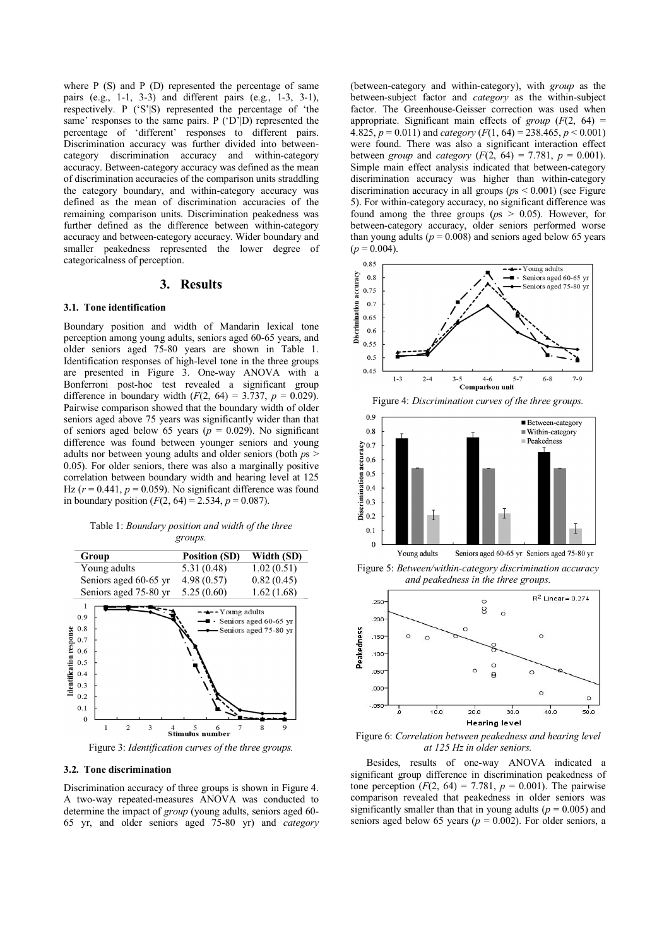where P (S) and P (D) represented the percentage of same pairs (e.g., 1-1, 3-3) and different pairs (e.g., 1-3, 3-1), respectively. P ('S'|S) represented the percentage of 'the same' responses to the same pairs. P ('D'|D) represented the percentage of 'different' responses to different pairs. Discrimination accuracy was further divided into betweencategory discrimination accuracy and within-category accuracy. Between-category accuracy was defined as the mean of discrimination accuracies of the comparison units straddling the category boundary, and within-category accuracy was defined as the mean of discrimination accuracies of the remaining comparison units. Discrimination peakedness was further defined as the difference between within-category accuracy and between-category accuracy. Wider boundary and smaller peakedness represented the lower degree of categoricalness of perception.

#### **3. Results**

#### **3.1. Tone identification**

Boundary position and width of Mandarin lexical tone perception among young adults, seniors aged 60-65 years, and older seniors aged 75-80 years are shown in Table 1. Identification responses of high-level tone in the three groups are presented in Figure 3. One-way ANOVA with a Bonferroni post-hoc test revealed a significant group difference in boundary width  $(F(2, 64) = 3.737, p = 0.029)$ . Pairwise comparison showed that the boundary width of older seniors aged above 75 years was significantly wider than that of seniors aged below 65 years ( $p = 0.029$ ). No significant difference was found between younger seniors and young adults nor between young adults and older seniors (both *p*s > 0.05). For older seniors, there was also a marginally positive correlation between boundary width and hearing level at 125 Hz  $(r = 0.441, p = 0.059)$ . No significant difference was found in boundary position  $(F(2, 64) = 2.534, p = 0.087)$ .

| Table 1: Boundary position and width of the three |  |
|---------------------------------------------------|--|
| groups.                                           |  |



Figure 3: *Identification curves of the three groups.* 

### **3.2. Tone discrimination**

Discrimination accuracy of three groups is shown in Figure 4. A two-way repeated-measures ANOVA was conducted to determine the impact of *group* (young adults, seniors aged 60- 65 yr, and older seniors aged 75-80 yr) and *category* (between-category and within-category), with *group* as the between-subject factor and *category* as the within-subject factor. The Greenhouse-Geisser correction was used when appropriate. Significant main effects of *group* (*F*(2, 64) = 4.825,  $p = 0.011$ ) and *category*  $(F(1, 64) = 238.465, p < 0.001)$ were found. There was also a significant interaction effect between *group* and *category* ( $F(2, 64) = 7.781$ ,  $p = 0.001$ ). Simple main effect analysis indicated that between-category discrimination accuracy was higher than within-category discrimination accuracy in all groups (*p*s < 0.001) (see Figure 5). For within-category accuracy, no significant difference was found among the three groups (*p*s > 0.05). However, for between-category accuracy, older seniors performed worse than young adults ( $p = 0.008$ ) and seniors aged below 65 years  $(p = 0.004)$ .





Figure 5: *Between/within-category discrimination accuracy and peakedness in the three groups.* 



Figure 6: *Correlation between peakedness and hearing level at 125 Hz in older seniors.* 

Besides, results of one-way ANOVA indicated a significant group difference in discrimination peakedness of tone perception  $(F(2, 64) = 7.781, p = 0.001)$ . The pairwise comparison revealed that peakedness in older seniors was significantly smaller than that in young adults ( $p = 0.005$ ) and seniors aged below 65 years ( $p = 0.002$ ). For older seniors, a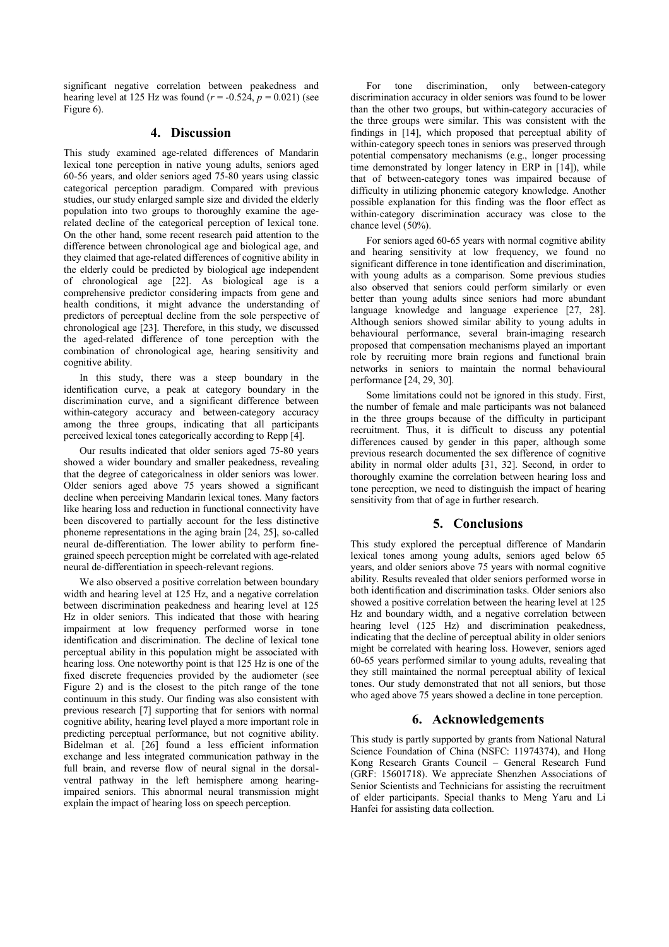significant negative correlation between peakedness and hearing level at 125 Hz was found  $(r = -0.524, p = 0.021)$  (see Figure 6).

### **4. Discussion**

This study examined age-related differences of Mandarin lexical tone perception in native young adults, seniors aged 60-56 years, and older seniors aged 75-80 years using classic categorical perception paradigm. Compared with previous studies, our study enlarged sample size and divided the elderly population into two groups to thoroughly examine the agerelated decline of the categorical perception of lexical tone. On the other hand, some recent research paid attention to the difference between chronological age and biological age, and they claimed that age-related differences of cognitive ability in the elderly could be predicted by biological age independent of chronological age [22]. As biological age is a comprehensive predictor considering impacts from gene and health conditions, it might advance the understanding of predictors of perceptual decline from the sole perspective of chronological age [23]. Therefore, in this study, we discussed the aged-related difference of tone perception with the combination of chronological age, hearing sensitivity and cognitive ability.

In this study, there was a steep boundary in the identification curve, a peak at category boundary in the discrimination curve, and a significant difference between within-category accuracy and between-category accuracy among the three groups, indicating that all participants perceived lexical tones categorically according to Repp [4].

Our results indicated that older seniors aged 75-80 years showed a wider boundary and smaller peakedness, revealing that the degree of categoricalness in older seniors was lower. Older seniors aged above 75 years showed a significant decline when perceiving Mandarin lexical tones. Many factors like hearing loss and reduction in functional connectivity have been discovered to partially account for the less distinctive phoneme representations in the aging brain [24, 25], so-called neural de-differentiation. The lower ability to perform finegrained speech perception might be correlated with age-related neural de-differentiation in speech-relevant regions.

We also observed a positive correlation between boundary width and hearing level at 125 Hz, and a negative correlation between discrimination peakedness and hearing level at 125 Hz in older seniors. This indicated that those with hearing impairment at low frequency performed worse in tone identification and discrimination. The decline of lexical tone perceptual ability in this population might be associated with hearing loss. One noteworthy point is that 125 Hz is one of the fixed discrete frequencies provided by the audiometer (see Figure 2) and is the closest to the pitch range of the tone continuum in this study. Our finding was also consistent with previous research [7] supporting that for seniors with normal cognitive ability, hearing level played a more important role in predicting perceptual performance, but not cognitive ability. Bidelman et al. [26] found a less efficient information exchange and less integrated communication pathway in the full brain, and reverse flow of neural signal in the dorsalventral pathway in the left hemisphere among hearingimpaired seniors. This abnormal neural transmission might explain the impact of hearing loss on speech perception.

For tone discrimination, only between-category discrimination accuracy in older seniors was found to be lower than the other two groups, but within-category accuracies of the three groups were similar. This was consistent with the findings in [14], which proposed that perceptual ability of within-category speech tones in seniors was preserved through potential compensatory mechanisms (e.g., longer processing time demonstrated by longer latency in ERP in [14]), while that of between-category tones was impaired because of difficulty in utilizing phonemic category knowledge. Another possible explanation for this finding was the floor effect as within-category discrimination accuracy was close to the chance level (50%).

For seniors aged 60-65 years with normal cognitive ability and hearing sensitivity at low frequency, we found no significant difference in tone identification and discrimination, with young adults as a comparison. Some previous studies also observed that seniors could perform similarly or even better than young adults since seniors had more abundant language knowledge and language experience [27, 28]. Although seniors showed similar ability to young adults in behavioural performance, several brain-imaging research proposed that compensation mechanisms played an important role by recruiting more brain regions and functional brain networks in seniors to maintain the normal behavioural performance [24, 29, 30].

Some limitations could not be ignored in this study. First, the number of female and male participants was not balanced in the three groups because of the difficulty in participant recruitment. Thus, it is difficult to discuss any potential differences caused by gender in this paper, although some previous research documented the sex difference of cognitive ability in normal older adults [31, 32]. Second, in order to thoroughly examine the correlation between hearing loss and tone perception, we need to distinguish the impact of hearing sensitivity from that of age in further research.

# **5. Conclusions**

This study explored the perceptual difference of Mandarin lexical tones among young adults, seniors aged below 65 years, and older seniors above 75 years with normal cognitive ability. Results revealed that older seniors performed worse in both identification and discrimination tasks. Older seniors also showed a positive correlation between the hearing level at 125 Hz and boundary width, and a negative correlation between hearing level (125 Hz) and discrimination peakedness, indicating that the decline of perceptual ability in older seniors might be correlated with hearing loss. However, seniors aged 60-65 years performed similar to young adults, revealing that they still maintained the normal perceptual ability of lexical tones. Our study demonstrated that not all seniors, but those who aged above 75 years showed a decline in tone perception.

# **6. Acknowledgements**

This study is partly supported by grants from National Natural Science Foundation of China (NSFC: 11974374), and Hong Kong Research Grants Council – General Research Fund (GRF: 15601718). We appreciate Shenzhen Associations of Senior Scientists and Technicians for assisting the recruitment of elder participants. Special thanks to Meng Yaru and Li Hanfei for assisting data collection.